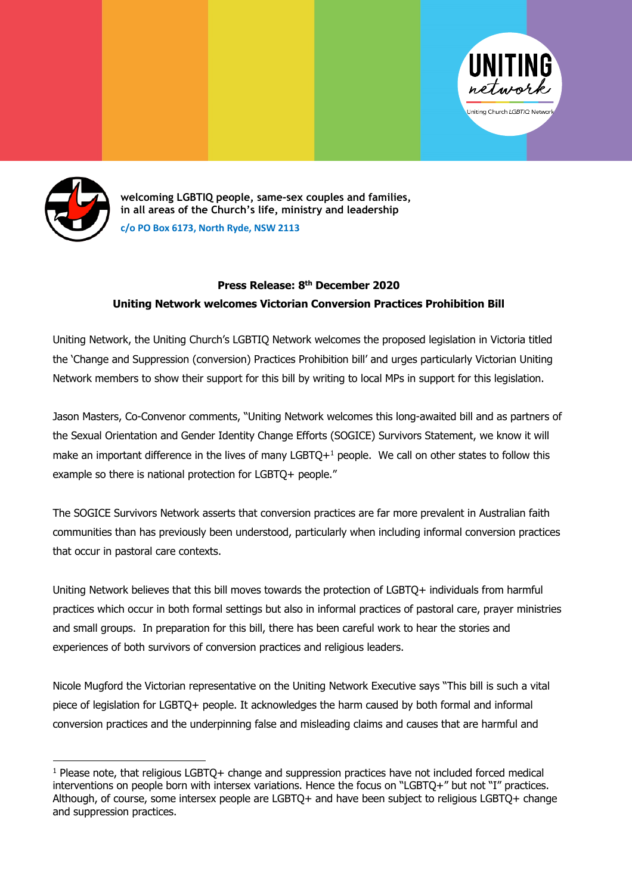



**welcoming LGBTIQ people, same-sex couples and families, in all areas of the Church's life, ministry and leadership c/o PO Box 6173, North Ryde, NSW 2113**

## **Press Release: 8th December 2020 Uniting Network welcomes Victorian Conversion Practices Prohibition Bill**

Uniting Network, the Uniting Church's LGBTIQ Network welcomes the proposed legislation in Victoria titled the 'Change and Suppression (conversion) Practices Prohibition bill' and urges particularly Victorian Uniting Network members to show their support for this bill by writing to local MPs in support for this legislation.

Jason Masters, Co-Convenor comments, "Uniting Network welcomes this long-awaited bill and as partners of the Sexual Orientation and Gender Identity Change Efforts (SOGICE) Survivors Statement, we know it will make an important difference in the lives of many  $LGBTQ+1$  people. We call on other states to follow this example so there is national protection for LGBTQ+ people."

The SOGICE Survivors Network asserts that conversion practices are far more prevalent in Australian faith communities than has previously been understood, particularly when including informal conversion practices that occur in pastoral care contexts.

Uniting Network believes that this bill moves towards the protection of LGBTQ+ individuals from harmful practices which occur in both formal settings but also in informal practices of pastoral care, prayer ministries and small groups. In preparation for this bill, there has been careful work to hear the stories and experiences of both survivors of conversion practices and religious leaders.

Nicole Mugford the Victorian representative on the Uniting Network Executive says "This bill is such a vital piece of legislation for LGBTQ+ people. It acknowledges the harm caused by both formal and informal conversion practices and the underpinning false and misleading claims and causes that are harmful and

 $1$  Please note, that religious LGBTO+ change and suppression practices have not included forced medical interventions on people born with intersex variations. Hence the focus on "LGBTQ+" but not "I" practices. Although, of course, some intersex people are LGBTQ+ and have been subject to religious LGBTQ+ change and suppression practices.